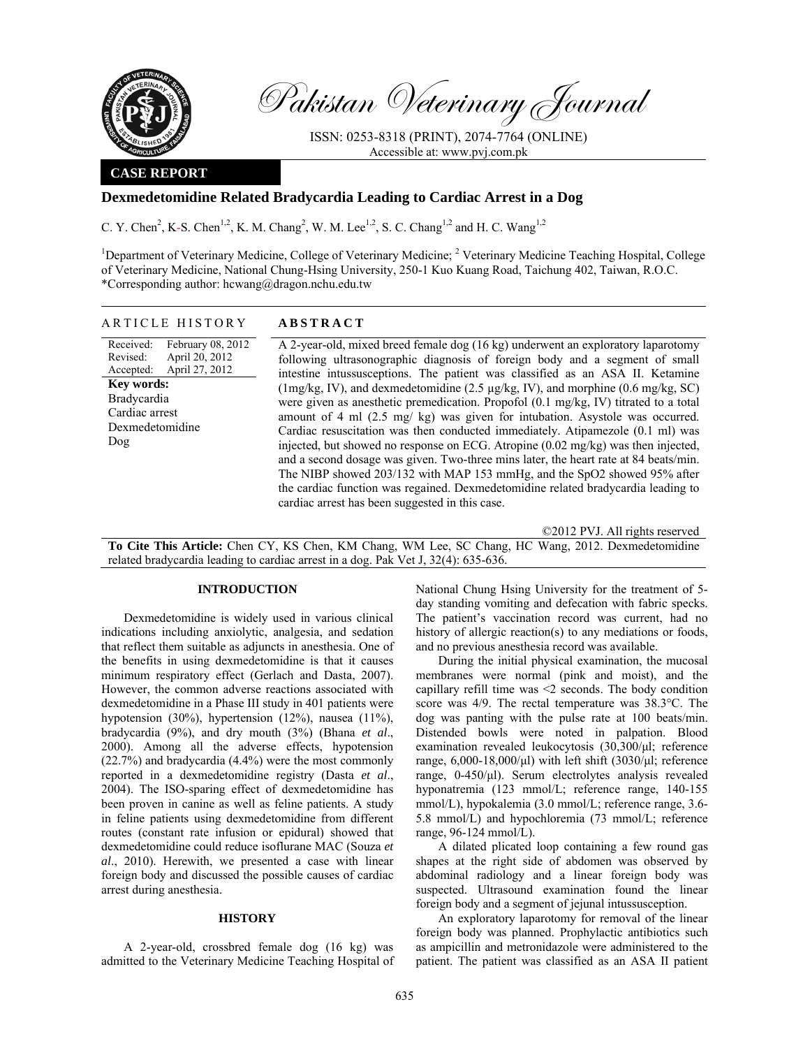

Pakistan Veterinary Journal

ISSN: 0253-8318 (PRINT), 2074-7764 (ONLINE) Accessible at: www.pvj.com.pk

## **CASE REPORT**

# **Dexmedetomidine Related Bradycardia Leading to Cardiac Arrest in a Dog**

C. Y. Chen<sup>2</sup>, K-S. Chen<sup>1,2</sup>, K. M. Chang<sup>2</sup>, W. M. Lee<sup>1,2</sup>, S. C. Chang<sup>1,2</sup> and H. C. Wang<sup>1,2</sup>

<sup>1</sup>Department of Veterinary Medicine, College of Veterinary Medicine; <sup>2</sup> Veterinary Medicine Teaching Hospital, College of Veterinary Medicine, National Chung-Hsing University, 250-1 Kuo Kuang Road, Taichung 402, Taiwan, R.O.C. \*Corresponding author: hcwang@dragon.nchu.edu.tw

## ARTICLE HISTORY **ABSTRACT**

Received: Revised: Accepted: February 08, 2012 April 20, 2012 April 27, 2012 **Key words:**  Bradycardia Cardiac arrest Dexmedetomidine Dog

A 2-year-old, mixed breed female dog (16 kg) underwent an exploratory laparotomy following ultrasonographic diagnosis of foreign body and a segment of small intestine intussusceptions. The patient was classified as an ASA II. Ketamine (1mg/kg, IV), and dexmedetomidine (2.5 µg/kg, IV), and morphine (0.6 mg/kg, SC) were given as anesthetic premedication. Propofol (0.1 mg/kg, IV) titrated to a total amount of 4 ml (2.5 mg/ kg) was given for intubation. Asystole was occurred. Cardiac resuscitation was then conducted immediately. Atipamezole (0.1 ml) was injected, but showed no response on ECG. Atropine (0.02 mg/kg) was then injected, and a second dosage was given. Two-three mins later, the heart rate at 84 beats/min. The NIBP showed 203/132 with MAP 153 mmHg, and the SpO2 showed 95% after the cardiac function was regained. Dexmedetomidine related bradycardia leading to cardiac arrest has been suggested in this case.

©2012 PVJ. All rights reserved

**To Cite This Article:** Chen CY, KS Chen, KM Chang, WM Lee, SC Chang, HC Wang, 2012. Dexmedetomidine related bradycardia leading to cardiac arrest in a dog. Pak Vet J, 32(4): 635-636.

### **INTRODUCTION**

Dexmedetomidine is widely used in various clinical indications including anxiolytic, analgesia, and sedation that reflect them suitable as adjuncts in anesthesia. One of the benefits in using dexmedetomidine is that it causes minimum respiratory effect (Gerlach and Dasta, 2007). However, the common adverse reactions associated with dexmedetomidine in a Phase III study in 401 patients were hypotension (30%), hypertension (12%), nausea (11%), bradycardia (9%), and dry mouth (3%) (Bhana *et al*., 2000). Among all the adverse effects, hypotension (22.7%) and bradycardia (4.4%) were the most commonly reported in a dexmedetomidine registry (Dasta *et al*., 2004). The ISO-sparing effect of dexmedetomidine has been proven in canine as well as feline patients. A study in feline patients using dexmedetomidine from different routes (constant rate infusion or epidural) showed that dexmedetomidine could reduce isoflurane MAC (Souza *et al*., 2010). Herewith, we presented a case with linear foreign body and discussed the possible causes of cardiac arrest during anesthesia.

## **HISTORY**

A 2-year-old, crossbred female dog (16 kg) was admitted to the Veterinary Medicine Teaching Hospital of National Chung Hsing University for the treatment of 5 day standing vomiting and defecation with fabric specks. The patient's vaccination record was current, had no history of allergic reaction(s) to any mediations or foods, and no previous anesthesia record was available.

During the initial physical examination, the mucosal membranes were normal (pink and moist), and the capillary refill time was <2 seconds. The body condition score was 4/9. The rectal temperature was 38.3°C. The dog was panting with the pulse rate at 100 beats/min. Distended bowls were noted in palpation. Blood examination revealed leukocytosis (30,300/µl; reference range,  $6,000-18,000/\mu l$ ) with left shift  $(3030/\mu l)$ ; reference range, 0-450/µl). Serum electrolytes analysis revealed hyponatremia (123 mmol/L; reference range, 140-155 mmol/L), hypokalemia (3.0 mmol/L; reference range, 3.6- 5.8 mmol/L) and hypochloremia (73 mmol/L; reference range, 96-124 mmol/L).

A dilated plicated loop containing a few round gas shapes at the right side of abdomen was observed by abdominal radiology and a linear foreign body was suspected. Ultrasound examination found the linear foreign body and a segment of jejunal intussusception.

An exploratory laparotomy for removal of the linear foreign body was planned. Prophylactic antibiotics such as ampicillin and metronidazole were administered to the patient. The patient was classified as an ASA II patient